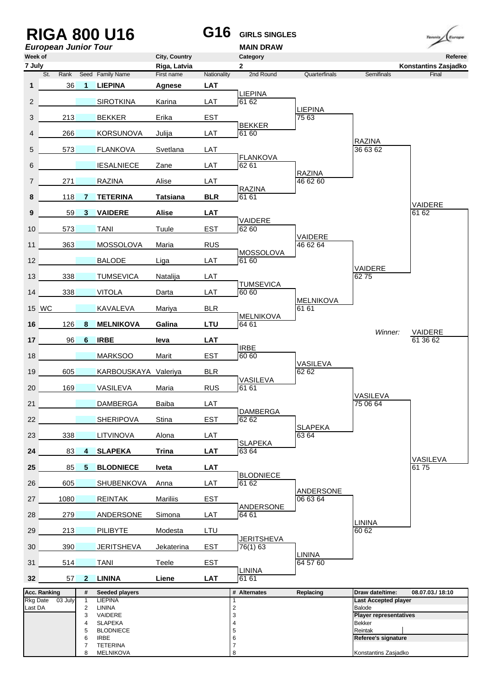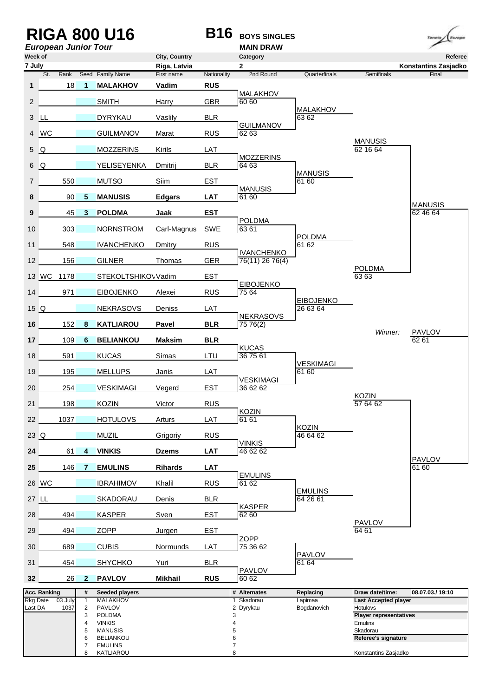|              |              | <b>European Junior Tour</b> |                                                              | <b>RIGA 800 U16</b>                                                                                                                     |                            | <b>B16</b>  | <b>BOYS SINGLES</b><br><b>MAIN DRAW</b>                                       |                              |                                                                                                                                                       | Europe<br>Temmie              |
|--------------|--------------|-----------------------------|--------------------------------------------------------------|-----------------------------------------------------------------------------------------------------------------------------------------|----------------------------|-------------|-------------------------------------------------------------------------------|------------------------------|-------------------------------------------------------------------------------------------------------------------------------------------------------|-------------------------------|
| Week of      |              |                             |                                                              |                                                                                                                                         | City, Country              |             | Category                                                                      |                              |                                                                                                                                                       | Referee                       |
| 7 July       | St.          | Rank                        |                                                              | Seed Family Name                                                                                                                        | Riga, Latvia<br>First name | Nationality | $\mathbf{2}$<br>2nd Round                                                     | Quarterfinals                | <b>Semifinals</b>                                                                                                                                     | Konstantins Zasjadko<br>Final |
| $\mathbf{1}$ |              | 18                          | 1                                                            | <b>MALAKHOV</b>                                                                                                                         | Vadim                      | <b>RUS</b>  |                                                                               |                              |                                                                                                                                                       |                               |
| 2            |              |                             |                                                              | <b>SMITH</b>                                                                                                                            | Harry                      | GBR         | <b>MALAKHOV</b><br>60 60                                                      |                              |                                                                                                                                                       |                               |
| 3            | LL           |                             |                                                              | <b>DYRYKAU</b>                                                                                                                          | Vaslily                    | <b>BLR</b>  |                                                                               | <b>MALAKHOV</b><br>6362      |                                                                                                                                                       |                               |
| 4            | <b>WC</b>    |                             |                                                              | <b>GUILMANOV</b>                                                                                                                        | Marat                      | <b>RUS</b>  | <b>GUILMANOV</b><br>6263                                                      |                              |                                                                                                                                                       |                               |
| 5            | Q            |                             |                                                              | <b>MOZZERINS</b>                                                                                                                        | Kirils                     | LAT         |                                                                               |                              | <b>MANUSIS</b><br>62 16 64                                                                                                                            |                               |
| 6            | Q            |                             |                                                              | YELISEYENKA                                                                                                                             | Dmitrij                    | <b>BLR</b>  | <b>MOZZERINS</b><br>64 63                                                     | <b>MANUSIS</b>               |                                                                                                                                                       |                               |
| 7            |              | 550                         |                                                              | <b>MUTSO</b>                                                                                                                            | Siim                       | <b>EST</b>  |                                                                               | 61 60                        |                                                                                                                                                       |                               |
| 8            |              | 90                          | 5                                                            | <b>MANUSIS</b>                                                                                                                          | <b>Edgars</b>              | <b>LAT</b>  | <b>MANUSIS</b><br>61 60                                                       |                              |                                                                                                                                                       |                               |
| 9            |              | 45                          | 3                                                            | <b>POLDMA</b>                                                                                                                           | Jaak                       | <b>EST</b>  |                                                                               |                              |                                                                                                                                                       | <b>MANUSIS</b><br>62 46 64    |
| 10           |              | 303                         |                                                              | <b>NORNSTROM</b>                                                                                                                        | Carl-Magnus                | SWE         | <b>POLDMA</b><br>6361                                                         |                              |                                                                                                                                                       |                               |
| 11           |              | 548                         |                                                              | <b>IVANCHENKO</b>                                                                                                                       | Dmitry                     | <b>RUS</b>  |                                                                               | <b>POLDMA</b><br>61 62       |                                                                                                                                                       |                               |
| 12           |              | 156                         |                                                              | <b>GILNER</b>                                                                                                                           | Thomas                     | <b>GER</b>  | <b>IVANCHENKO</b><br>76(11) 26 76(4)                                          |                              |                                                                                                                                                       |                               |
|              |              | 13 WC 1178                  |                                                              | STEKOLTSHIKO\ Vadim                                                                                                                     |                            | <b>EST</b>  |                                                                               |                              | <b>POLDMA</b><br>63 63                                                                                                                                |                               |
| 14           |              | 971                         |                                                              | <b>EIBOJENKO</b>                                                                                                                        | Alexei                     | <b>RUS</b>  | <b>EIBOJENKO</b><br>75 64                                                     |                              |                                                                                                                                                       |                               |
| 15Q          |              |                             |                                                              | <b>NEKRASOVS</b>                                                                                                                        | Deniss                     | LAT         |                                                                               | <b>EIBOJENKO</b><br>26 63 64 |                                                                                                                                                       |                               |
| 16           |              | 152                         | 8                                                            | <b>KATLIAROU</b>                                                                                                                        | Pavel                      | <b>BLR</b>  | <b>NEKRASOVS</b><br>75 76(2)                                                  |                              |                                                                                                                                                       |                               |
| 17           |              | 109                         | 6                                                            | <b>BELIANKOU</b>                                                                                                                        | <b>Maksim</b>              | <b>BLR</b>  |                                                                               |                              | Winner:                                                                                                                                               | <b>PAVLOV</b><br>62 61        |
| 18           |              | 591                         |                                                              | <b>KUCAS</b>                                                                                                                            | Simas                      | LTU         | <b>KUCAS</b><br>367561                                                        |                              |                                                                                                                                                       |                               |
| 19           |              | 195                         |                                                              | <b>MELLUPS</b>                                                                                                                          | Janis                      | LAT         |                                                                               | <b>VESKIMAGI</b><br>61 60    |                                                                                                                                                       |                               |
| 20           |              | 254                         |                                                              | <b>VESKIMAGI</b>                                                                                                                        | Vegerd                     | <b>EST</b>  | VESKIMAGI<br>36 62 62                                                         |                              |                                                                                                                                                       |                               |
| 21           |              | 198                         |                                                              | <b>KOZIN</b>                                                                                                                            | Victor                     | <b>RUS</b>  | <b>KOZIN</b>                                                                  |                              | <b>KOZIN</b><br>57 64 62                                                                                                                              |                               |
| 22           |              | 1037                        |                                                              | <b>HOTULOVS</b>                                                                                                                         | Arturs                     | LAT         | 61 61                                                                         | <b>KOZIN</b>                 |                                                                                                                                                       |                               |
| $23$ $Q$     |              |                             |                                                              | <b>MUZIL</b>                                                                                                                            | Grigoriy                   | <b>RUS</b>  | <b>VINKIS</b>                                                                 | 46 64 62                     |                                                                                                                                                       |                               |
| 24           |              | 61                          | 4                                                            | <b>VINKIS</b>                                                                                                                           | <b>Dzems</b>               | <b>LAT</b>  | 46 62 62                                                                      |                              |                                                                                                                                                       |                               |
| 25           |              | 146                         | 7                                                            | <b>EMULINS</b>                                                                                                                          | <b>Rihards</b>             | <b>LAT</b>  |                                                                               |                              |                                                                                                                                                       | <b>PAVLOV</b><br>61 60        |
|              | 26 WC        |                             |                                                              | <b>IBRAHIMOV</b>                                                                                                                        | Khalil                     | <b>RUS</b>  | <b>EMULINS</b><br>61 62                                                       |                              |                                                                                                                                                       |                               |
| 27 LL        |              |                             |                                                              | SKADORAU                                                                                                                                | Denis                      | <b>BLR</b>  |                                                                               | <b>EMULINS</b><br>64 26 61   |                                                                                                                                                       |                               |
| 28           |              | 494                         |                                                              | <b>KASPER</b>                                                                                                                           | Sven                       | <b>EST</b>  | <b>KASPER</b><br>62 60                                                        |                              |                                                                                                                                                       |                               |
| 29           |              | 494                         |                                                              | ZOPP                                                                                                                                    | Jurgen                     | <b>EST</b>  |                                                                               |                              | <b>PAVLOV</b><br>64 61                                                                                                                                |                               |
| 30           |              | 689                         |                                                              | <b>CUBIS</b>                                                                                                                            | Normunds                   | LAT         | <b>ZOPP</b><br>75 36 62                                                       |                              |                                                                                                                                                       |                               |
| 31           |              | 454                         |                                                              | <b>SHYCHKO</b>                                                                                                                          | Yuri                       | <b>BLR</b>  | <b>PAVLOV</b>                                                                 | <b>PAVLOV</b><br>61 64       |                                                                                                                                                       |                               |
| 32           |              | 26                          | $\mathbf{2}$                                                 | <b>PAVLOV</b>                                                                                                                           | <b>Mikhail</b>             | <b>RUS</b>  | 60 62                                                                         |                              |                                                                                                                                                       |                               |
|              | Acc. Ranking |                             | #                                                            | Seeded players                                                                                                                          |                            |             | # Alternates                                                                  | Replacing                    | Draw date/time:                                                                                                                                       | 08.07.03./19:10               |
| Last DA      | Rkg Date     | 03 July<br>1037             | $\mathbf{1}$<br>2<br>3<br>4<br>5<br>6<br>$\overline{7}$<br>8 | <b>MALAKHOV</b><br><b>PAVLOV</b><br><b>POLDMA</b><br><b>VINKIS</b><br><b>MANUSIS</b><br><b>BELIANKOU</b><br><b>EMULINS</b><br>KATLIAROU |                            |             | Skadorau<br>2 Dyrykau<br>3<br>$\overline{4}$<br>5<br>6<br>$\overline{7}$<br>8 | Lapimaa<br>Bogdanovich       | <b>Last Accepted player</b><br><b>Hotulovs</b><br><b>Player representatives</b><br>Emulins<br>Skadorau<br>Referee's signature<br>Konstantins Zasjadko |                               |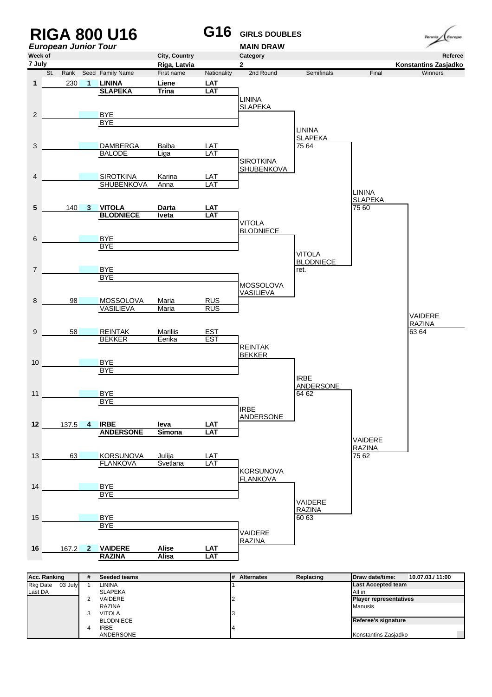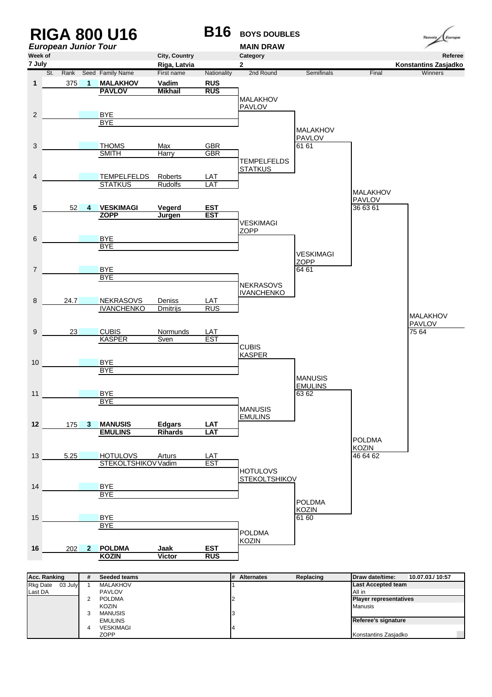